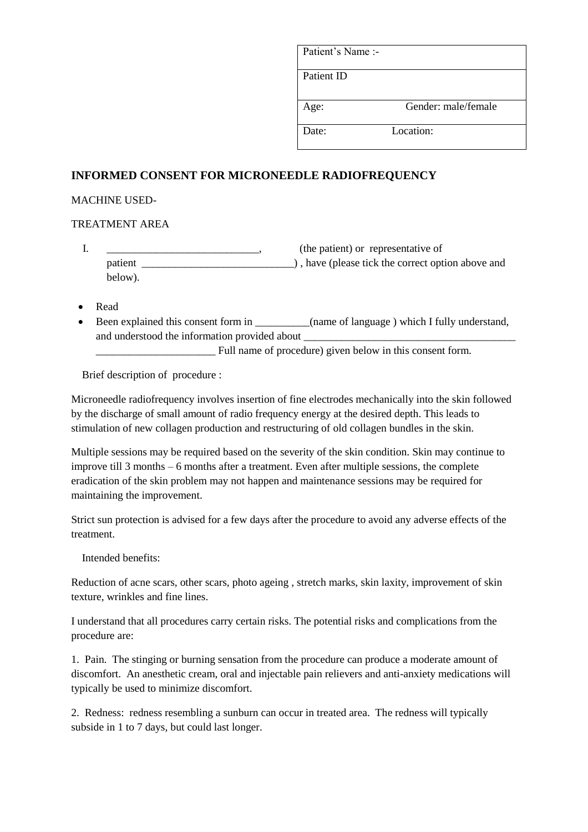| Patient's Name:- |                     |
|------------------|---------------------|
| Patient ID       |                     |
| Age:             | Gender: male/female |
| Date:            | Location:           |

# **INFORMED CONSENT FOR MICRONEEDLE RADIOFREQUENCY**

### MACHINE USED-

#### TREATMENT AREA

- I. \_\_\_\_\_\_\_\_\_\_\_\_\_\_\_\_\_\_\_\_\_\_\_\_\_\_\_\_\_\_\_\_, (the patient) or representative of patient \_\_\_\_\_\_\_\_\_\_\_\_\_\_\_\_\_\_\_\_\_\_\_\_\_\_\_\_) , have (please tick the correct option above and below).
- Read
- Been explained this consent form in  $\qquad \qquad$  (name of language ) which I fully understand, and understood the information provided about \_\_\_\_\_\_\_\_\_\_\_\_\_\_\_\_\_\_\_\_\_\_\_\_\_\_\_\_\_\_\_\_\_\_\_

\_\_\_\_\_\_\_\_\_\_\_\_\_\_\_\_\_\_\_\_\_\_ Full name of procedure) given below in this consent form.

Brief description of procedure :

Microneedle radiofrequency involves insertion of fine electrodes mechanically into the skin followed by the discharge of small amount of radio frequency energy at the desired depth. This leads to stimulation of new collagen production and restructuring of old collagen bundles in the skin.

Multiple sessions may be required based on the severity of the skin condition. Skin may continue to improve till 3 months – 6 months after a treatment. Even after multiple sessions, the complete eradication of the skin problem may not happen and maintenance sessions may be required for maintaining the improvement.

Strict sun protection is advised for a few days after the procedure to avoid any adverse effects of the treatment.

Intended benefits:

Reduction of acne scars, other scars, photo ageing , stretch marks, skin laxity, improvement of skin texture, wrinkles and fine lines.

I understand that all procedures carry certain risks. The potential risks and complications from the procedure are:

1. Pain. The stinging or burning sensation from the procedure can produce a moderate amount of discomfort. An anesthetic cream, oral and injectable pain relievers and anti-anxiety medications will typically be used to minimize discomfort.

2. Redness: redness resembling a sunburn can occur in treated area. The redness will typically subside in 1 to 7 days, but could last longer.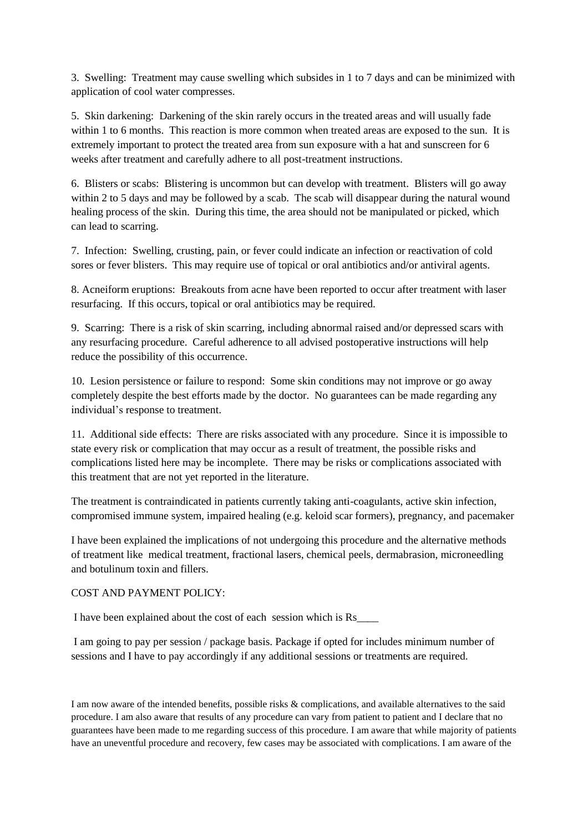3. Swelling: Treatment may cause swelling which subsides in 1 to 7 days and can be minimized with application of cool water compresses.

5. Skin darkening: Darkening of the skin rarely occurs in the treated areas and will usually fade within 1 to 6 months. This reaction is more common when treated areas are exposed to the sun. It is extremely important to protect the treated area from sun exposure with a hat and sunscreen for 6 weeks after treatment and carefully adhere to all post-treatment instructions.

6. Blisters or scabs: Blistering is uncommon but can develop with treatment. Blisters will go away within 2 to 5 days and may be followed by a scab. The scab will disappear during the natural wound healing process of the skin. During this time, the area should not be manipulated or picked, which can lead to scarring.

7. Infection: Swelling, crusting, pain, or fever could indicate an infection or reactivation of cold sores or fever blisters. This may require use of topical or oral antibiotics and/or antiviral agents.

8. Acneiform eruptions: Breakouts from acne have been reported to occur after treatment with laser resurfacing. If this occurs, topical or oral antibiotics may be required.

9. Scarring: There is a risk of skin scarring, including abnormal raised and/or depressed scars with any resurfacing procedure. Careful adherence to all advised postoperative instructions will help reduce the possibility of this occurrence.

10. Lesion persistence or failure to respond: Some skin conditions may not improve or go away completely despite the best efforts made by the doctor. No guarantees can be made regarding any individual's response to treatment.

11. Additional side effects: There are risks associated with any procedure. Since it is impossible to state every risk or complication that may occur as a result of treatment, the possible risks and complications listed here may be incomplete. There may be risks or complications associated with this treatment that are not yet reported in the literature.

The treatment is contraindicated in patients currently taking anti-coagulants, active skin infection, compromised immune system, impaired healing (e.g. keloid scar formers), pregnancy, and pacemaker

I have been explained the implications of not undergoing this procedure and the alternative methods of treatment like medical treatment, fractional lasers, chemical peels, dermabrasion, microneedling and botulinum toxin and fillers.

## COST AND PAYMENT POLICY:

I have been explained about the cost of each session which is Rs\_\_\_\_

I am going to pay per session / package basis. Package if opted for includes minimum number of sessions and I have to pay accordingly if any additional sessions or treatments are required.

I am now aware of the intended benefits, possible risks & complications, and available alternatives to the said procedure. I am also aware that results of any procedure can vary from patient to patient and I declare that no guarantees have been made to me regarding success of this procedure. I am aware that while majority of patients have an uneventful procedure and recovery, few cases may be associated with complications. I am aware of the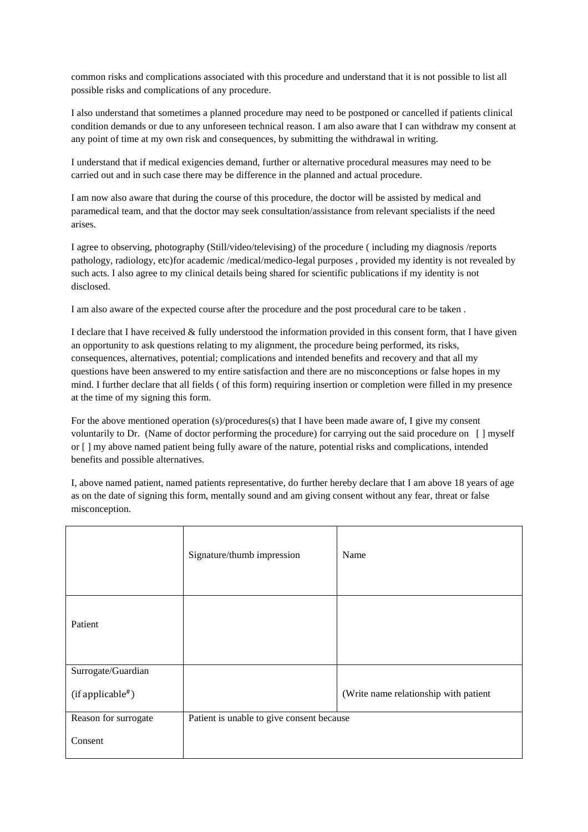common risks and complications associated with this procedure and understand that it is not possible to list all possible risks and complications of any procedure.

I also understand that sometimes a planned procedure may need to be postponed or cancelled if patients clinical condition demands or due to any unforeseen technical reason. I am also aware that I can withdraw my consent at any point of time at my own risk and consequences, by submitting the withdrawal in writing.

I understand that if medical exigencies demand, further or alternative procedural measures may need to be carried out and in such case there may be difference in the planned and actual procedure.

I am now also aware that during the course of this procedure, the doctor will be assisted by medical and paramedical team, and that the doctor may seek consultation/assistance from relevant specialists if the need arises.

I agree to observing, photography (Still/video/televising) of the procedure ( including my diagnosis /reports pathology, radiology, etc)for academic /medical/medico-legal purposes , provided my identity is not revealed by such acts. I also agree to my clinical details being shared for scientific publications if my identity is not disclosed.

I am also aware of the expected course after the procedure and the post procedural care to be taken .

I declare that I have received & fully understood the information provided in this consent form, that I have given an opportunity to ask questions relating to my alignment, the procedure being performed, its risks, consequences, alternatives, potential; complications and intended benefits and recovery and that all my questions have been answered to my entire satisfaction and there are no misconceptions or false hopes in my mind. I further declare that all fields ( of this form) requiring insertion or completion were filled in my presence at the time of my signing this form.

For the above mentioned operation (s)/procedures(s) that I have been made aware of, I give my consent voluntarily to Dr. (Name of doctor performing the procedure) for carrying out the said procedure on [ ] myself or [ ] my above named patient being fully aware of the nature, potential risks and complications, intended benefits and possible alternatives.

I, above named patient, named patients representative, do further hereby declare that I am above 18 years of age as on the date of signing this form, mentally sound and am giving consent without any fear, threat or false misconception.

|                      | Signature/thumb impression                | Name                                  |
|----------------------|-------------------------------------------|---------------------------------------|
| Patient              |                                           |                                       |
| Surrogate/Guardian   |                                           |                                       |
| (if applicable#)     |                                           | (Write name relationship with patient |
| Reason for surrogate | Patient is unable to give consent because |                                       |
| Consent              |                                           |                                       |